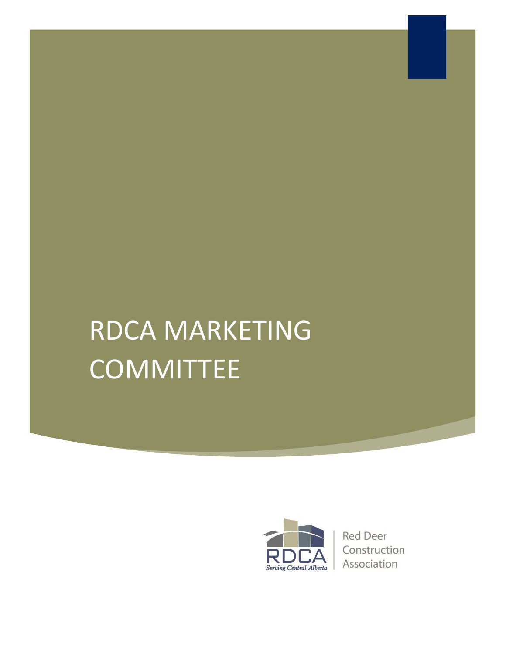# RDCA MARKETING COMMITTEE



**Red Deer** Construction Association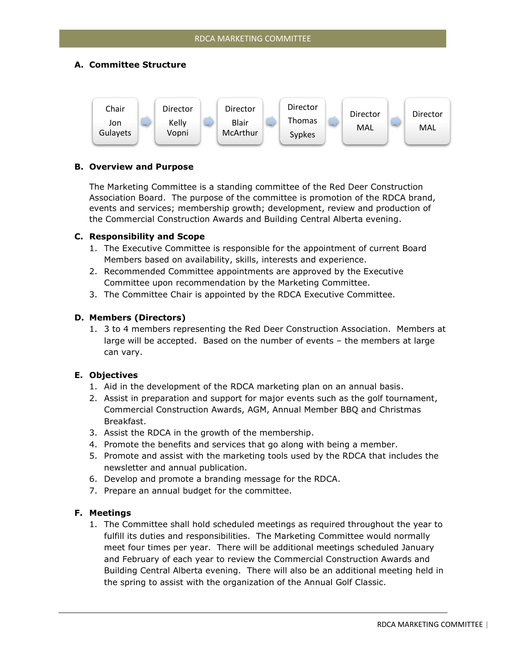## **A. Committee Structure**



## **B. Overview and Purpose**

The Marketing Committee is a standing committee of the Red Deer Construction Association Board. The purpose of the committee is promotion of the RDCA brand, events and services; membership growth; development, review and production of the Commercial Construction Awards and Building Central Alberta evening.

#### **C. Responsibility and Scope**

- 1. The Executive Committee is responsible for the appointment of current Board Members based on availability, skills, interests and experience.
- 2. Recommended Committee appointments are approved by the Executive Committee upon recommendation by the Marketing Committee.
- 3. The Committee Chair is appointed by the RDCA Executive Committee.

#### **D. Members (Directors)**

1. 3 to 4 members representing the Red Deer Construction Association. Members at large will be accepted. Based on the number of events – the members at large can vary.

## **E. Objectives**

- 1. Aid in the development of the RDCA marketing plan on an annual basis.
- 2. Assist in preparation and support for major events such as the golf tournament, Commercial Construction Awards, AGM, Annual Member BBQ and Christmas Breakfast.
- 3. Assist the RDCA in the growth of the membership.
- 4. Promote the benefits and services that go along with being a member.
- 5. Promote and assist with the marketing tools used by the RDCA that includes the newsletter and annual publication.
- 6. Develop and promote a branding message for the RDCA.
- 7. Prepare an annual budget for the committee.

## **F. Meetings**

1. The Committee shall hold scheduled meetings as required throughout the year to fulfill its duties and responsibilities. The Marketing Committee would normally meet four times per year. There will be additional meetings scheduled January and February of each year to review the Commercial Construction Awards and Building Central Alberta evening. There will also be an additional meeting held in the spring to assist with the organization of the Annual Golf Classic.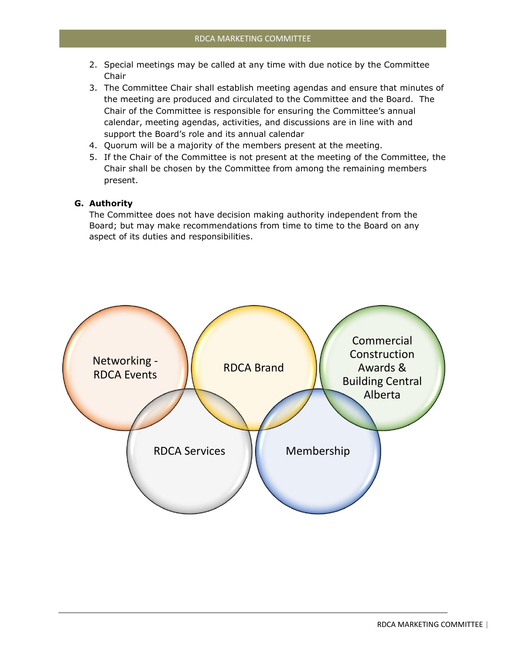- 2. Special meetings may be called at any time with due notice by the Committee Chair
- 3. The Committee Chair shall establish meeting agendas and ensure that minutes of the meeting are produced and circulated to the Committee and the Board. The Chair of the Committee is responsible for ensuring the Committee's annual calendar, meeting agendas, activities, and discussions are in line with and support the Board's role and its annual calendar
- 4. Quorum will be a majority of the members present at the meeting.
- 5. If the Chair of the Committee is not present at the meeting of the Committee, the Chair shall be chosen by the Committee from among the remaining members present.

## **G. Authority**

The Committee does not have decision making authority independent from the Board; but may make recommendations from time to time to the Board on any aspect of its duties and responsibilities.

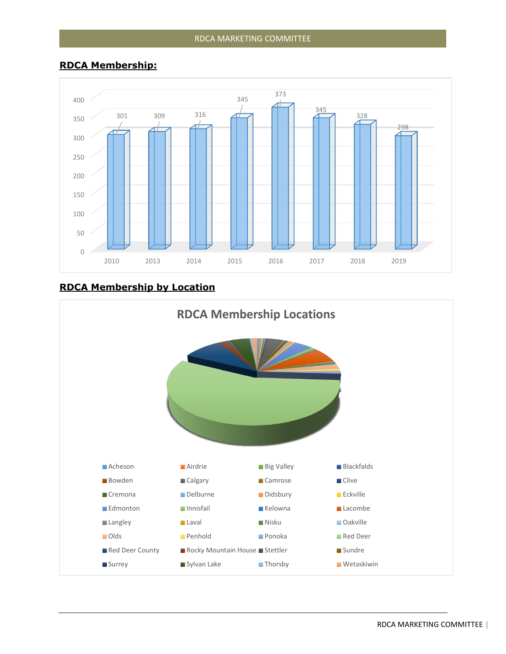# **RDCA Membership:**



# **RDCA Membership by Location**

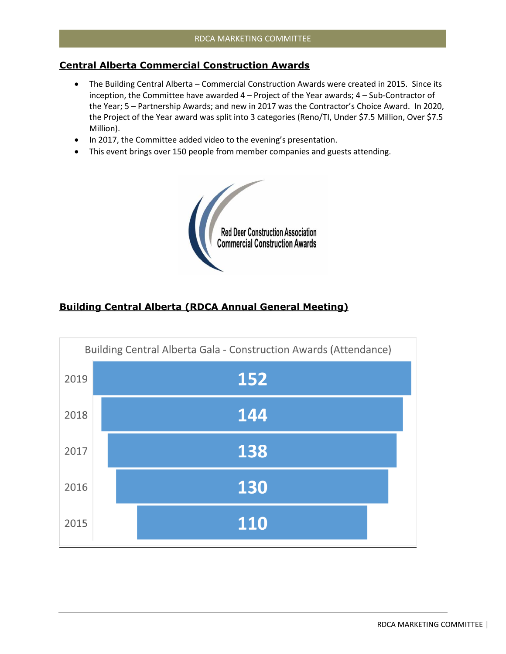# **Central Alberta Commercial Construction Awards**

- The Building Central Alberta Commercial Construction Awards were created in 2015. Since its inception, the Committee have awarded 4 – Project of the Year awards; 4 – Sub-Contractor of the Year; 5 – Partnership Awards; and new in 2017 was the Contractor's Choice Award. In 2020, the Project of the Year award was split into 3 categories (Reno/TI, Under \$7.5 Million, Over \$7.5 Million).
- In 2017, the Committee added video to the evening's presentation.
- This event brings over 150 people from member companies and guests attending.



# **Building Central Alberta (RDCA Annual General Meeting)**

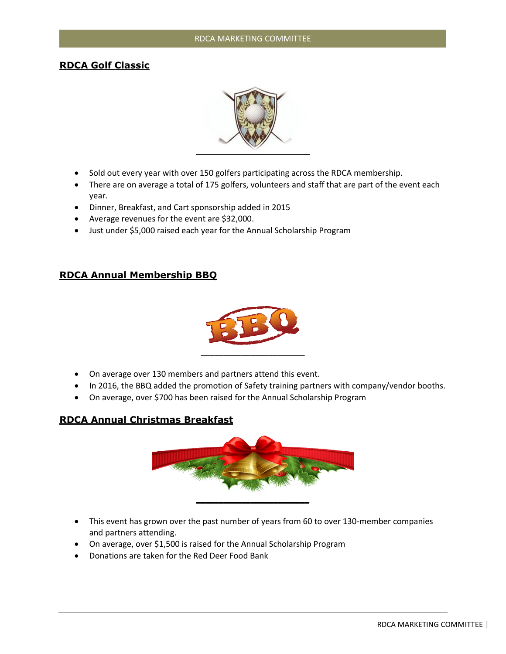# **RDCA Golf Classic**



- Sold out every year with over 150 golfers participating across the RDCA membership.
- There are on average a total of 175 golfers, volunteers and staff that are part of the event each year.
- Dinner, Breakfast, and Cart sponsorship added in 2015
- Average revenues for the event are \$32,000.
- Just under \$5,000 raised each year for the Annual Scholarship Program

# **RDCA Annual Membership BBQ**



- On average over 130 members and partners attend this event.
- In 2016, the BBQ added the promotion of Safety training partners with company/vendor booths.
- On average, over \$700 has been raised for the Annual Scholarship Program

# **RDCA Annual Christmas Breakfast**



- This event has grown over the past number of years from 60 to over 130-member companies and partners attending.
- On average, over \$1,500 is raised for the Annual Scholarship Program
- Donations are taken for the Red Deer Food Bank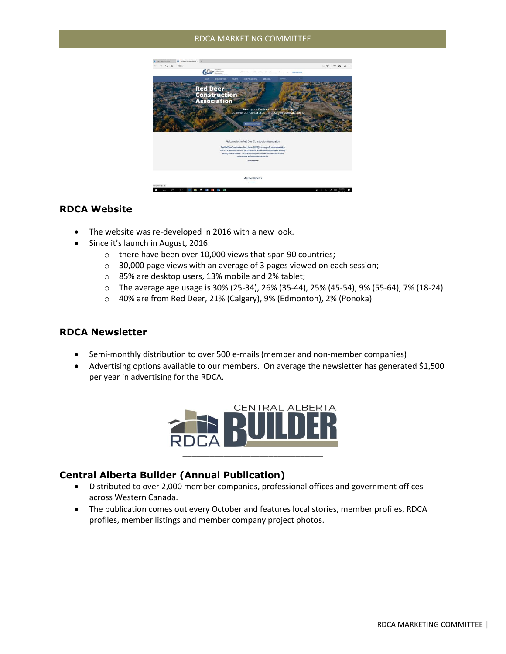## RDCA MARKETING COMMITTEE



# **RDCA Website**

- The website was re-developed in 2016 with a new look.
- Since it's launch in August, 2016:
	- o there have been over 10,000 views that span 90 countries;
	- o 30,000 page views with an average of 3 pages viewed on each session;
	- o 85% are desktop users, 13% mobile and 2% tablet;
	- o The average age usage is 30% (25-34), 26% (35-44), 25% (45-54), 9% (55-64), 7% (18-24)
	- o 40% are from Red Deer, 21% (Calgary), 9% (Edmonton), 2% (Ponoka)

## **RDCA Newsletter**

- Semi-monthly distribution to over 500 e-mails (member and non-member companies)
- Advertising options available to our members. On average the newsletter has generated \$1,500 per year in advertising for the RDCA.



## **Central Alberta Builder (Annual Publication)**

- Distributed to over 2,000 member companies, professional offices and government offices across Western Canada.
- The publication comes out every October and features local stories, member profiles, RDCA profiles, member listings and member company project photos.